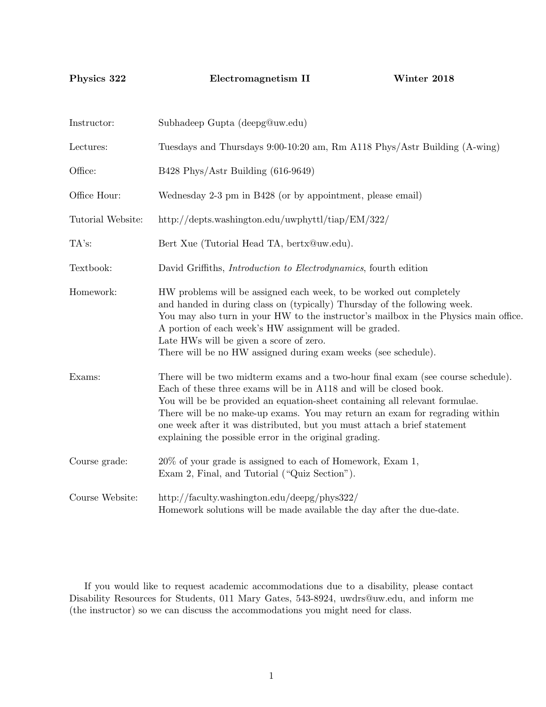Physics 322 Electromagnetism II Winter 2018

| Instructor:       | Subhadeep Gupta (deepg@uw.edu)                                                                                                                                                                                                                                                                                                                                                                                                                             |  |  |
|-------------------|------------------------------------------------------------------------------------------------------------------------------------------------------------------------------------------------------------------------------------------------------------------------------------------------------------------------------------------------------------------------------------------------------------------------------------------------------------|--|--|
| Lectures:         | Tuesdays and Thursdays 9:00-10:20 am, Rm A118 Phys/Astr Building (A-wing)                                                                                                                                                                                                                                                                                                                                                                                  |  |  |
| Office:           | B428 Phys/Astr Building (616-9649)                                                                                                                                                                                                                                                                                                                                                                                                                         |  |  |
| Office Hour:      | Wednesday 2-3 pm in B428 (or by appointment, please email)                                                                                                                                                                                                                                                                                                                                                                                                 |  |  |
| Tutorial Website: | http://depts.washington.edu/uwphyttl/tiap/ $EM/322/$                                                                                                                                                                                                                                                                                                                                                                                                       |  |  |
| TA's:             | Bert Xue (Tutorial Head TA, bertx@uw.edu).                                                                                                                                                                                                                                                                                                                                                                                                                 |  |  |
| Textbook:         | David Griffiths, <i>Introduction to Electrodynamics</i> , fourth edition                                                                                                                                                                                                                                                                                                                                                                                   |  |  |
| Homework:         | HW problems will be assigned each week, to be worked out completely<br>and handed in during class on (typically) Thursday of the following week.<br>You may also turn in your HW to the instructor's mailbox in the Physics main office.<br>A portion of each week's HW assignment will be graded.<br>Late HWs will be given a score of zero.<br>There will be no HW assigned during exam weeks (see schedule).                                            |  |  |
| Exams:            | There will be two midterm exams and a two-hour final exam (see course schedule).<br>Each of these three exams will be in A118 and will be closed book.<br>You will be be provided an equation-sheet containing all relevant formulae.<br>There will be no make-up exams. You may return an exam for regrading within<br>one week after it was distributed, but you must attach a brief statement<br>explaining the possible error in the original grading. |  |  |
| Course grade:     | 20% of your grade is assigned to each of Homework, Exam 1,<br>Exam 2, Final, and Tutorial ("Quiz Section").                                                                                                                                                                                                                                                                                                                                                |  |  |
| Course Website:   | http://faculty.washington.edu/deepg/phys322/<br>Homework solutions will be made available the day after the due-date.                                                                                                                                                                                                                                                                                                                                      |  |  |

If you would like to request academic accommodations due to a disability, please contact Disability Resources for Students, 011 Mary Gates, 543-8924, uwdrs@uw.edu, and inform me (the instructor) so we can discuss the accommodations you might need for class.